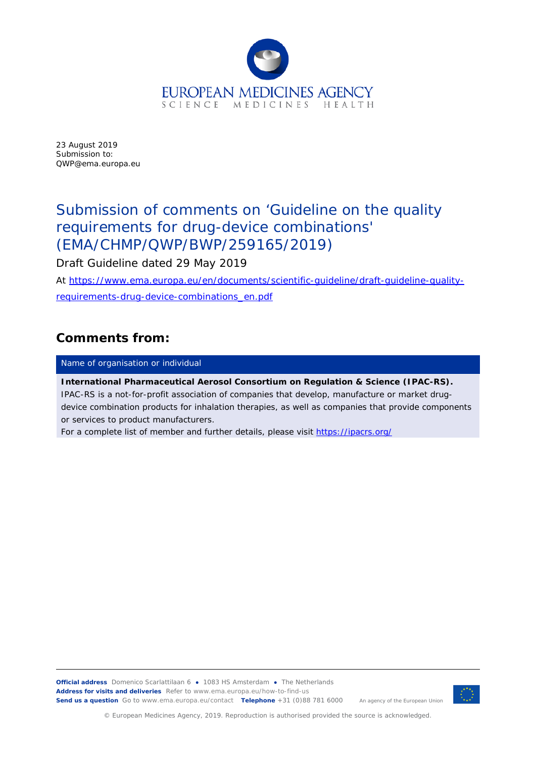

23 August 2019 Submission to: QWP@ema.europa.eu

# Submission of comments on 'Guideline on the quality requirements for drug-device combinations' (EMA/CHMP/QWP/BWP/259165/2019)

Draft Guideline dated 29 May 2019

At [https://www.ema.europa.eu/en/documents/scientific-guideline/draft-guideline-quality](https://www.ema.europa.eu/en/documents/scientific-guideline/draft-guideline-quality-requirements-drug-device-combinations_en.pdf)[requirements-drug-device-combinations\\_en.pdf](https://www.ema.europa.eu/en/documents/scientific-guideline/draft-guideline-quality-requirements-drug-device-combinations_en.pdf)

### **Comments from:**

Name of organisation or individual

**International Pharmaceutical Aerosol Consortium on Regulation & Science (IPAC-RS).** IPAC-RS is a not-for-profit association of companies that develop, manufacture or market drugdevice combination products for inhalation therapies, as well as companies that provide components or services to product manufacturers.

For a complete list of member and further details, please visit<https://ipacrs.org/>

**Official address** Domenico Scarlattilaan 6 **●** 1083 HS Amsterdam **●** The Netherlands An agency of the European Union **Address for visits and deliveries** Refer to www.ema.europa.eu/how-to-find-us **Send us a question** Go to www.ema.europa.eu/contact **Telephone** +31 (0)88 781 6000



© European Medicines Agency, 2019. Reproduction is authorised provided the source is acknowledged.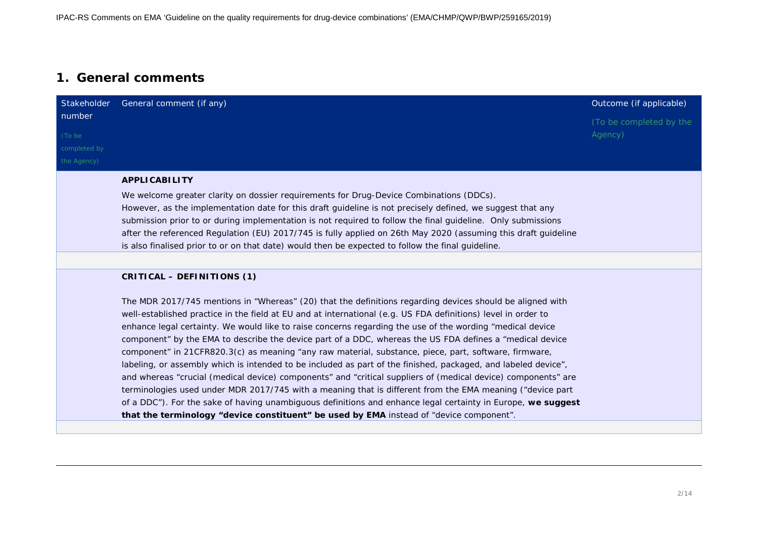### **1. General comments**

|                                                 | Stakeholder General comment (if any)                                                                                                                                                                                                                                                                                                                                                                                                                                                                                                                                                                                                                                                                                                                                                                                                                                                                                                                                                                                                                                                                                    | Outcome (if applicable)            |
|-------------------------------------------------|-------------------------------------------------------------------------------------------------------------------------------------------------------------------------------------------------------------------------------------------------------------------------------------------------------------------------------------------------------------------------------------------------------------------------------------------------------------------------------------------------------------------------------------------------------------------------------------------------------------------------------------------------------------------------------------------------------------------------------------------------------------------------------------------------------------------------------------------------------------------------------------------------------------------------------------------------------------------------------------------------------------------------------------------------------------------------------------------------------------------------|------------------------------------|
| number<br>(To be<br>completed by<br>the Agency) |                                                                                                                                                                                                                                                                                                                                                                                                                                                                                                                                                                                                                                                                                                                                                                                                                                                                                                                                                                                                                                                                                                                         | (To be completed by the<br>Agency) |
|                                                 | <b>APPLICABILITY</b>                                                                                                                                                                                                                                                                                                                                                                                                                                                                                                                                                                                                                                                                                                                                                                                                                                                                                                                                                                                                                                                                                                    |                                    |
|                                                 | We welcome greater clarity on dossier requirements for Drug-Device Combinations (DDCs).<br>However, as the implementation date for this draft guideline is not precisely defined, we suggest that any<br>submission prior to or during implementation is not required to follow the final guideline. Only submissions<br>after the referenced Regulation (EU) 2017/745 is fully applied on 26th May 2020 (assuming this draft guideline<br>is also finalised prior to or on that date) would then be expected to follow the final guideline.                                                                                                                                                                                                                                                                                                                                                                                                                                                                                                                                                                            |                                    |
|                                                 | CRITICAL - DEFINITIONS (1)                                                                                                                                                                                                                                                                                                                                                                                                                                                                                                                                                                                                                                                                                                                                                                                                                                                                                                                                                                                                                                                                                              |                                    |
|                                                 | The MDR 2017/745 mentions in "Whereas" (20) that the definitions regarding devices should be aligned with<br>well-established practice in the field at EU and at international (e.g. US FDA definitions) level in order to<br>enhance legal certainty. We would like to raise concerns regarding the use of the wording "medical device<br>component" by the EMA to describe the device part of a DDC, whereas the US FDA defines a "medical device<br>component" in 21CFR820.3(c) as meaning "any raw material, substance, piece, part, software, firmware,<br>labeling, or assembly which is intended to be included as part of the finished, packaged, and labeled device",<br>and whereas "crucial (medical device) components" and "critical suppliers of (medical device) components" are<br>terminologies used under MDR 2017/745 with a meaning that is different from the EMA meaning ("device part<br>of a DDC"). For the sake of having unambiguous definitions and enhance legal certainty in Europe, we suggest<br>that the terminology "device constituent" be used by EMA instead of "device component". |                                    |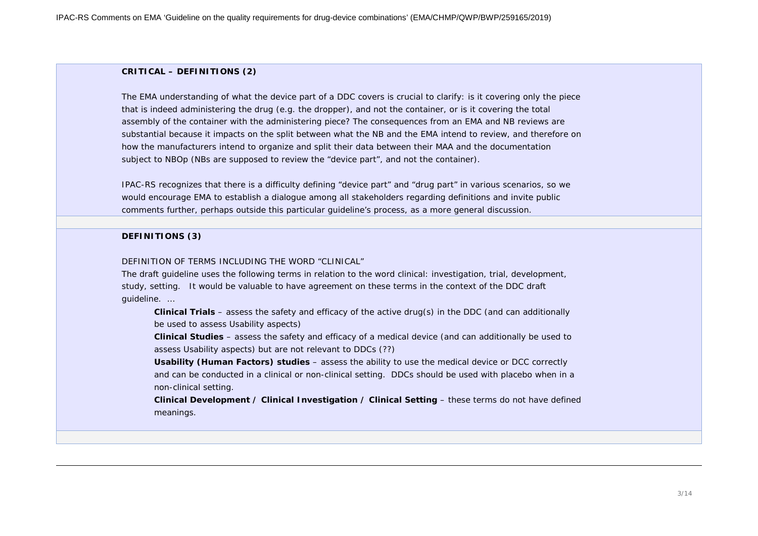#### **CRITICAL – DEFINITIONS (2)**

The EMA understanding of what the device part of a DDC covers is crucial to clarify: is it covering only the piece that is indeed administering the drug (e.g. the dropper), and not the container, or is it covering the total assembly of the container with the administering piece? The consequences from an EMA and NB reviews are substantial because it impacts on the split between what the NB and the EMA intend to review, and therefore on how the manufacturers intend to organize and split their data between their MAA and the documentation subject to NBOp (NBs are supposed to review the "device part", and not the container).

IPAC-RS recognizes that there is a difficulty defining "device part" and "drug part" in various scenarios, so we would encourage EMA to establish a dialogue among all stakeholders regarding definitions and invite public comments further, perhaps outside this particular guideline's process, as a more general discussion.

#### **DEFINITIONS (3)**

#### DEFINITION OF TERMS INCLUDING THE WORD "CLINICAL"

The draft guideline uses the following terms in relation to the word *clinical*: investigation, trial, development, study, setting. It would be valuable to have agreement on these terms in the context of the DDC draft guideline. …

**Clinical Trials** – assess the safety and efficacy of the active drug(s) in the DDC (and can additionally be used to assess Usability aspects)

**Clinical Studies** – assess the safety and efficacy of a medical device (and can additionally be used to assess Usability aspects) but are not relevant to DDCs (??)

**Usability (Human Factors) studies** – assess the ability to use the medical device or DCC correctly and can be conducted in a clinical or non-clinical setting. DDCs should be used with placebo when in a non-clinical setting.

**Clinical Development / Clinical Investigation / Clinical Setting** – these terms do not have defined meanings.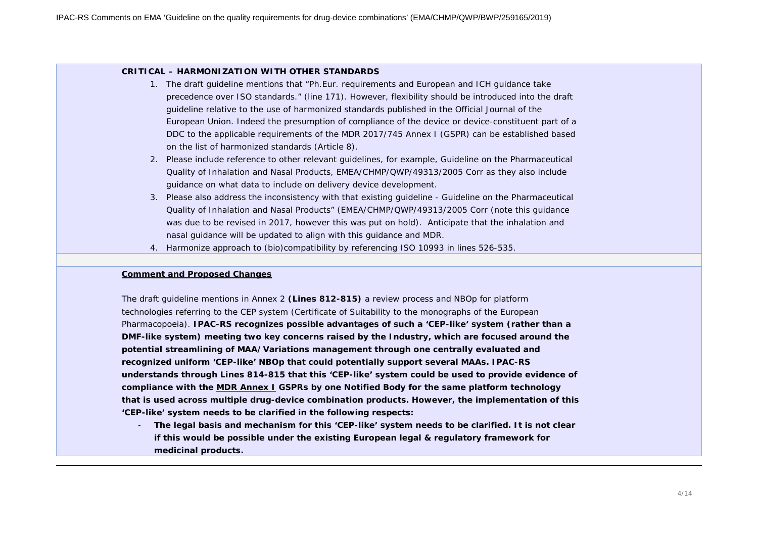#### **CRITICAL – HARMONIZATION WITH OTHER STANDARDS**

- 1. The draft guideline mentions that "*Ph.Eur. requirements and European and ICH guidance take precedence over ISO standards*." (line 171). However, flexibility should be introduced into the draft guideline relative to the use of harmonized standards published in the Official Journal of the European Union. Indeed the presumption of compliance of the device or device-constituent part of a DDC to the applicable requirements of the MDR 2017/745 Annex I (GSPR) can be established based on the list of harmonized standards (Article 8).
- 2. Please include reference to other relevant guidelines, for example, Guideline on the Pharmaceutical Quality of Inhalation and Nasal Products, EMEA/CHMP/QWP/49313/2005 Corr as they also include guidance on what data to include on delivery device development.
- 3. Please also address the inconsistency with that existing guideline Guideline on the Pharmaceutical Quality of Inhalation and Nasal Products" (EMEA/CHMP/QWP/49313/2005 Corr (note this guidance was due to be revised in 2017, however this was put on hold). Anticipate that the inhalation and nasal guidance will be updated to align with this guidance and MDR.
- 4. Harmonize approach to (bio)compatibility by referencing ISO 10993 in lines 526-535.

#### **Comment and Proposed Changes**

The draft guideline mentions in Annex 2 **(Lines 812-815)** a review process and NBOp for platform technologies referring to the CEP system (Certificate of Suitability to the monographs of the European Pharmacopoeia). **IPAC-RS recognizes possible advantages of such a 'CEP-like' system (rather than a DMF-like system) meeting two key concerns raised by the Industry, which are focused around the potential streamlining of MAA/Variations management through one centrally evaluated and recognized uniform 'CEP-like' NBOp that could potentially support several MAAs. IPAC-RS understands through Lines 814-815 that this 'CEP-like' system could be used to provide evidence of compliance with the MDR Annex I GSPRs by one Notified Body for the same platform technology that is used across multiple drug-device combination products. However, the implementation of this 'CEP-like' system needs to be clarified in the following respects:**

- **The legal basis and mechanism for this 'CEP-like' system needs to be clarified. It is not clear if this would be possible under the existing European legal & regulatory framework for medicinal products.**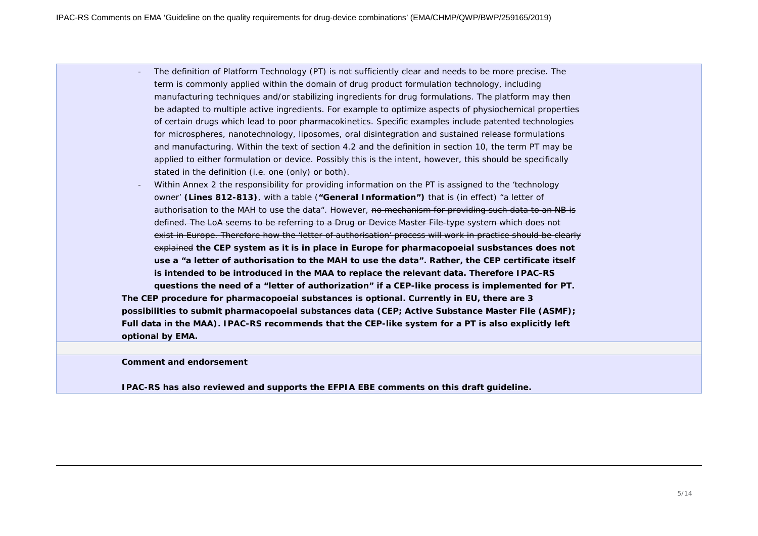- The definition of Platform Technology (PT) is not sufficiently clear and needs to be more precise. The term is commonly applied within the domain of drug product formulation technology, including manufacturing techniques and/or stabilizing ingredients for drug formulations. The platform may then be adapted to multiple active ingredients. For example to optimize aspects of physiochemical properties of certain drugs which lead to poor pharmacokinetics. Specific examples include patented technologies for microspheres, nanotechnology, liposomes, oral disintegration and sustained release formulations and manufacturing. Within the text of section 4.2 and the definition in section 10, the term PT may be applied to either formulation or device. Possibly this is the intent, however, this should be specifically stated in the definition (i.e. one (only) or both).
- Within Annex 2 the responsibility for providing information on the PT is assigned to the 'technology owner' **(Lines 812-813)**, with a table (**"General Information")** that is (in effect) "a letter of authorisation to the MAH to use the data". However, no mechanism for providing such data to an NB is defined. The LoA seems to be referring to a Drug or Device Master File-type system which does not exist in Europe. Therefore how the 'letter of authorisation' process will work in practice should be clearly explained **the CEP system as it is in place in Europe for pharmacopoeial susbstances does not use a "a letter of authorisation to the MAH to use the data". Rather, the CEP certificate itself is intended to be introduced in the MAA to replace the relevant data. Therefore IPAC-RS questions the need of a "letter of authorization" if a CEP-like process is implemented for PT. The CEP procedure for pharmacopoeial substances is optional. Currently in EU, there are 3 possibilities to submit pharmacopoeial substances data (CEP; Active Substance Master File (ASMF); Full data in the MAA). IPAC-RS recommends that the CEP-like system for a PT is also explicitly left optional by EMA.**

#### **Comment and endorsement**

**IPAC-RS has also reviewed and supports the EFPIA EBE comments on this draft guideline.**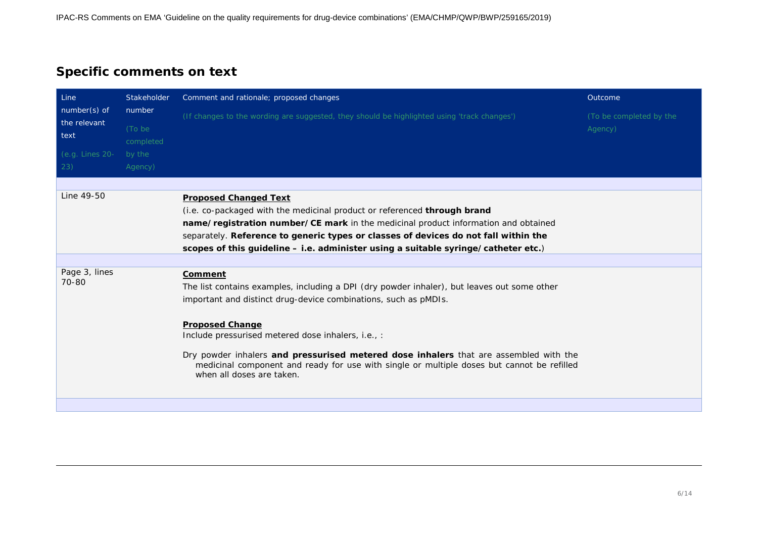# **Specific comments on text**

| Line<br>number(s) of<br>the relevant<br>text | Stakeholder                   | Comment and rationale; proposed changes                                                                                                                                                                                                                                                                                                                                            | Outcome                            |
|----------------------------------------------|-------------------------------|------------------------------------------------------------------------------------------------------------------------------------------------------------------------------------------------------------------------------------------------------------------------------------------------------------------------------------------------------------------------------------|------------------------------------|
|                                              | number<br>(To be<br>completed | (If changes to the wording are suggested, they should be highlighted using 'track changes')                                                                                                                                                                                                                                                                                        | (To be completed by the<br>Agency) |
| (e.g. Lines 20-<br>23)                       | by the<br>Agency)             |                                                                                                                                                                                                                                                                                                                                                                                    |                                    |
|                                              |                               |                                                                                                                                                                                                                                                                                                                                                                                    |                                    |
| Line 49-50                                   |                               | <b>Proposed Changed Text</b><br>(i.e. co-packaged with the medicinal product or referenced <b>through brand</b><br>name/registration number/CE mark in the medicinal product information and obtained<br>separately. Reference to generic types or classes of devices do not fall within the<br>scopes of this guideline - i.e. administer using a suitable syringe/catheter etc.) |                                    |
|                                              |                               |                                                                                                                                                                                                                                                                                                                                                                                    |                                    |
| Page 3, lines<br>70-80                       |                               | Comment<br>The list contains examples, including a DPI (dry powder inhaler), but leaves out some other<br>important and distinct drug-device combinations, such as pMDIs.                                                                                                                                                                                                          |                                    |
|                                              |                               | <b>Proposed Change</b><br>Include pressurised metered dose inhalers, i.e., :<br>Dry powder inhalers and pressurised metered dose inhalers that are assembled with the<br>medicinal component and ready for use with single or multiple doses but cannot be refilled<br>when all doses are taken.                                                                                   |                                    |
|                                              |                               |                                                                                                                                                                                                                                                                                                                                                                                    |                                    |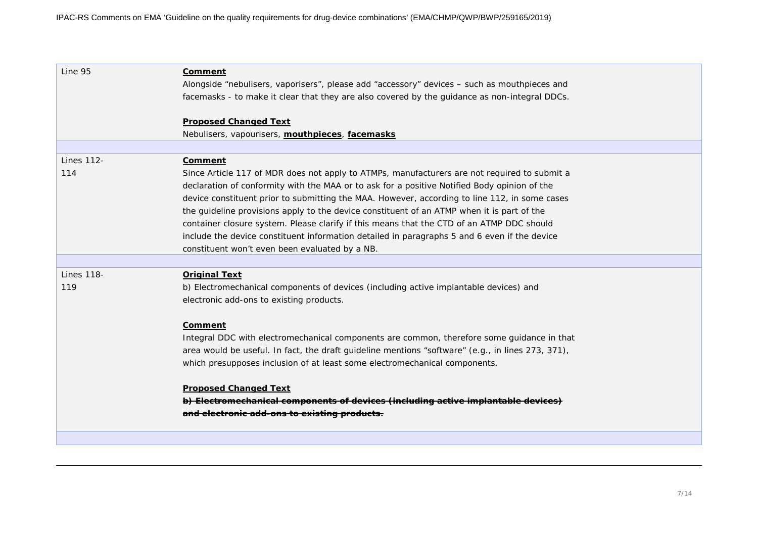| Line 95                  | <b>Comment</b><br>Alongside "nebulisers, vaporisers", please add "accessory" devices - such as mouthpieces and<br>facemasks - to make it clear that they are also covered by the guidance as non-integral DDCs.                                                                                                                                                                                                                                                                                                                                                                                                                                       |
|--------------------------|-------------------------------------------------------------------------------------------------------------------------------------------------------------------------------------------------------------------------------------------------------------------------------------------------------------------------------------------------------------------------------------------------------------------------------------------------------------------------------------------------------------------------------------------------------------------------------------------------------------------------------------------------------|
|                          | <b>Proposed Changed Text</b><br>Nebulisers, vapourisers, mouthpieces, facemasks                                                                                                                                                                                                                                                                                                                                                                                                                                                                                                                                                                       |
| <b>Lines 112-</b><br>114 | Comment<br>Since Article 117 of MDR does not apply to ATMPs, manufacturers are not required to submit a<br>declaration of conformity with the MAA or to ask for a positive Notified Body opinion of the<br>device constituent prior to submitting the MAA. However, according to line 112, in some cases<br>the guideline provisions apply to the device constituent of an ATMP when it is part of the<br>container closure system. Please clarify if this means that the CTD of an ATMP DDC should<br>include the device constituent information detailed in paragraphs 5 and 6 even if the device<br>constituent won't even been evaluated by a NB. |
| <b>Lines 118-</b><br>119 | <b>Original Text</b><br>b) Electromechanical components of devices (including active implantable devices) and<br>electronic add-ons to existing products.<br>Comment<br>Integral DDC with electromechanical components are common, therefore some guidance in that<br>area would be useful. In fact, the draft guideline mentions "software" (e.g., in lines 273, 371),<br>which presupposes inclusion of at least some electromechanical components.<br><b>Proposed Changed Text</b><br>b) Electromechanical components of devices (including active implantable devices)<br>and electronic add-ons to existing products.                            |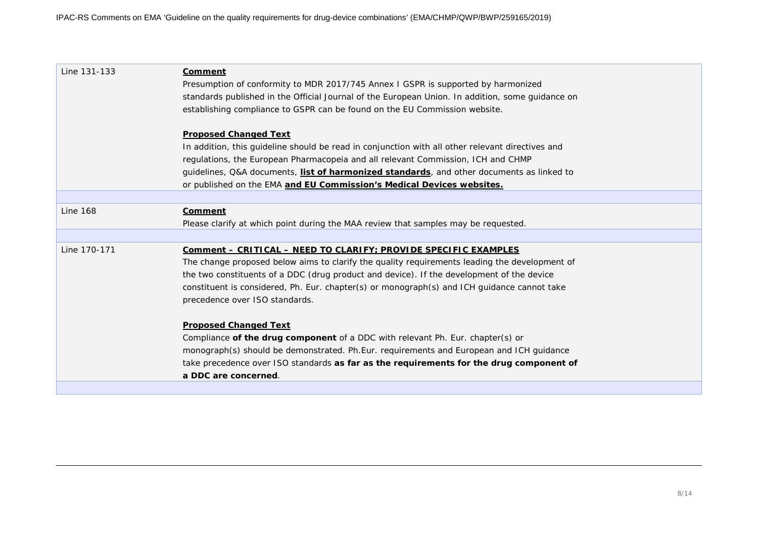| Line 131-133    | Comment                                                                                          |
|-----------------|--------------------------------------------------------------------------------------------------|
|                 | Presumption of conformity to MDR 2017/745 Annex I GSPR is supported by harmonized                |
|                 | standards published in the Official Journal of the European Union. In addition, some guidance on |
|                 | establishing compliance to GSPR can be found on the EU Commission website.                       |
|                 |                                                                                                  |
|                 | <b>Proposed Changed Text</b>                                                                     |
|                 | In addition, this guideline should be read in conjunction with all other relevant directives and |
|                 | regulations, the European Pharmacopeia and all relevant Commission, ICH and CHMP                 |
|                 | guidelines, Q&A documents, list of harmonized standards, and other documents as linked to        |
|                 | or published on the EMA and EU Commission's Medical Devices websites.                            |
|                 |                                                                                                  |
| <b>Line 168</b> | <b>Comment</b>                                                                                   |
|                 | Please clarify at which point during the MAA review that samples may be requested.               |
|                 |                                                                                                  |
| Line 170-171    | Comment - CRITICAL - NEED TO CLARIFY; PROVIDE SPECIFIC EXAMPLES                                  |
|                 | The change proposed below aims to clarify the quality requirements leading the development of    |
|                 | the two constituents of a DDC (drug product and device). If the development of the device        |
|                 | constituent is considered, Ph. Eur. chapter(s) or monograph(s) and ICH guidance cannot take      |
|                 | precedence over ISO standards.                                                                   |
|                 | <b>Proposed Changed Text</b>                                                                     |
|                 | Compliance of the drug component of a DDC with relevant Ph. Eur. chapter(s) or                   |
|                 | monograph(s) should be demonstrated. Ph.Eur. requirements and European and ICH guidance          |
|                 | take precedence over ISO standards as far as the requirements for the drug component of          |
|                 | a DDC are concerned.                                                                             |
|                 |                                                                                                  |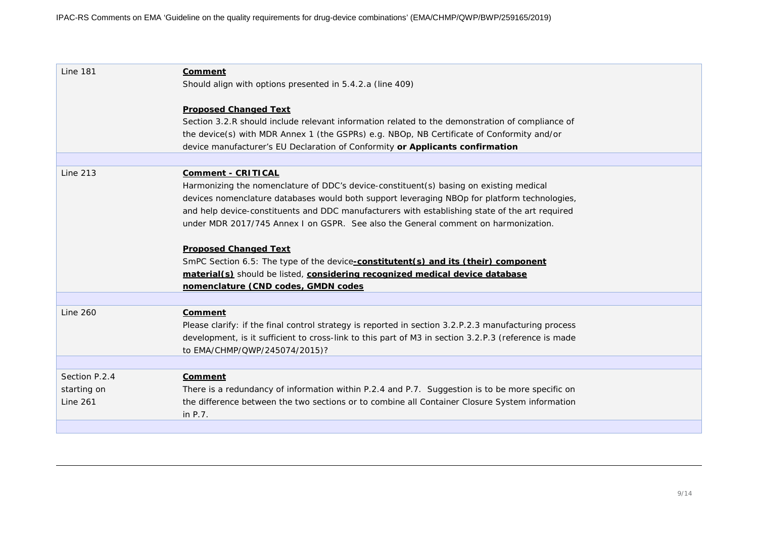| <b>Line 181</b> | <b>Comment</b><br>Should align with options presented in 5.4.2.a (line 409)                                                     |
|-----------------|---------------------------------------------------------------------------------------------------------------------------------|
|                 | <b>Proposed Changed Text</b><br>Section 3.2.R should include relevant information related to the demonstration of compliance of |
|                 | the device(s) with MDR Annex 1 (the GSPRs) e.g. NBOp, NB Certificate of Conformity and/or                                       |
|                 | device manufacturer's EU Declaration of Conformity or Applicants confirmation                                                   |
|                 |                                                                                                                                 |
| <b>Line 213</b> | <b>Comment - CRITICAL</b>                                                                                                       |
|                 | Harmonizing the nomenclature of DDC's device-constituent(s) basing on existing medical                                          |
|                 | devices nomenclature databases would both support leveraging NBOp for platform technologies,                                    |
|                 | and help device-constituents and DDC manufacturers with establishing state of the art required                                  |
|                 | under MDR 2017/745 Annex I on GSPR. See also the General comment on harmonization.                                              |
|                 | <b>Proposed Changed Text</b>                                                                                                    |
|                 | SmPC Section 6.5: The type of the device-constitutent(s) and its (their) component                                              |
|                 | material(s) should be listed, considering recognized medical device database                                                    |
|                 | nomenclature (CND codes, GMDN codes                                                                                             |
|                 |                                                                                                                                 |
| Line 260        | Comment                                                                                                                         |
|                 | Please clarify: if the final control strategy is reported in section 3.2.P.2.3 manufacturing process                            |
|                 | development, is it sufficient to cross-link to this part of M3 in section 3.2.P.3 (reference is made                            |
|                 | to EMA/CHMP/QWP/245074/2015)?                                                                                                   |
| Section P.2.4   | <b>Comment</b>                                                                                                                  |
| starting on     | There is a redundancy of information within P.2.4 and P.7. Suggestion is to be more specific on                                 |
| <b>Line 261</b> | the difference between the two sections or to combine all Container Closure System information                                  |
|                 | in P.7.                                                                                                                         |
|                 |                                                                                                                                 |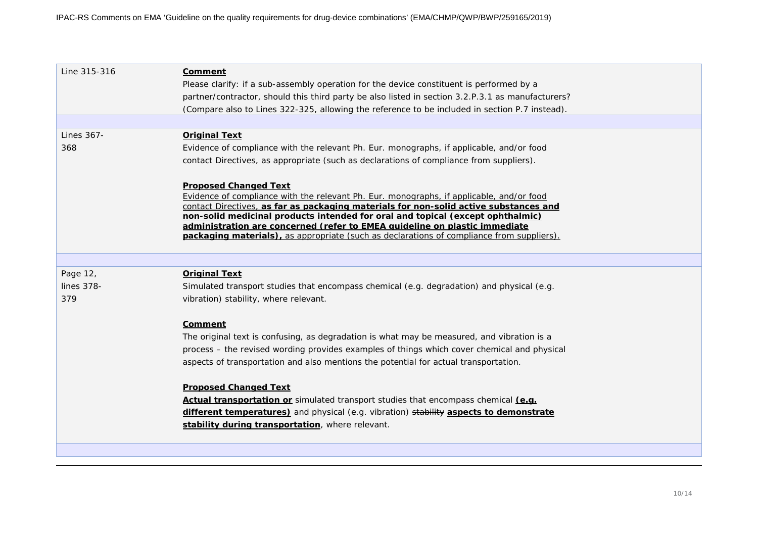| Line 315-316 | <b>Comment</b><br>Please clarify: if a sub-assembly operation for the device constituent is performed by a<br>partner/contractor, should this third party be also listed in section 3.2.P.3.1 as manufacturers?<br>(Compare also to Lines 322-325, allowing the reference to be included in section P.7 instead).                                                                                                                                                                      |
|--------------|----------------------------------------------------------------------------------------------------------------------------------------------------------------------------------------------------------------------------------------------------------------------------------------------------------------------------------------------------------------------------------------------------------------------------------------------------------------------------------------|
|              |                                                                                                                                                                                                                                                                                                                                                                                                                                                                                        |
| Lines 367-   | <b>Original Text</b>                                                                                                                                                                                                                                                                                                                                                                                                                                                                   |
| 368          | Evidence of compliance with the relevant Ph. Eur. monographs, if applicable, and/or food                                                                                                                                                                                                                                                                                                                                                                                               |
|              | contact Directives, as appropriate (such as declarations of compliance from suppliers).                                                                                                                                                                                                                                                                                                                                                                                                |
|              | <b>Proposed Changed Text</b><br>Evidence of compliance with the relevant Ph. Eur. monographs, if applicable, and/or food<br>contact Directives, as far as packaging materials for non-solid active substances and<br>non-solid medicinal products intended for oral and topical (except ophthalmic)<br>administration are concerned (refer to EMEA quideline on plastic immediate<br><b>packaging materials)</b> , as appropriate (such as declarations of compliance from suppliers). |
|              |                                                                                                                                                                                                                                                                                                                                                                                                                                                                                        |
| Page 12,     | <b>Original Text</b>                                                                                                                                                                                                                                                                                                                                                                                                                                                                   |
| lines 378-   | Simulated transport studies that encompass chemical (e.g. degradation) and physical (e.g.                                                                                                                                                                                                                                                                                                                                                                                              |
| 379          | vibration) stability, where relevant.                                                                                                                                                                                                                                                                                                                                                                                                                                                  |
|              | <b>Comment</b>                                                                                                                                                                                                                                                                                                                                                                                                                                                                         |
|              | The original text is confusing, as degradation is what may be measured, and vibration is a                                                                                                                                                                                                                                                                                                                                                                                             |
|              | process - the revised wording provides examples of things which cover chemical and physical                                                                                                                                                                                                                                                                                                                                                                                            |
|              | aspects of transportation and also mentions the potential for actual transportation.                                                                                                                                                                                                                                                                                                                                                                                                   |
|              | <b>Proposed Changed Text</b>                                                                                                                                                                                                                                                                                                                                                                                                                                                           |
|              | Actual transportation or simulated transport studies that encompass chemical (e.g.                                                                                                                                                                                                                                                                                                                                                                                                     |
|              | different temperatures) and physical (e.g. vibration) stability aspects to demonstrate                                                                                                                                                                                                                                                                                                                                                                                                 |
|              | stability during transportation, where relevant.                                                                                                                                                                                                                                                                                                                                                                                                                                       |
|              |                                                                                                                                                                                                                                                                                                                                                                                                                                                                                        |
|              |                                                                                                                                                                                                                                                                                                                                                                                                                                                                                        |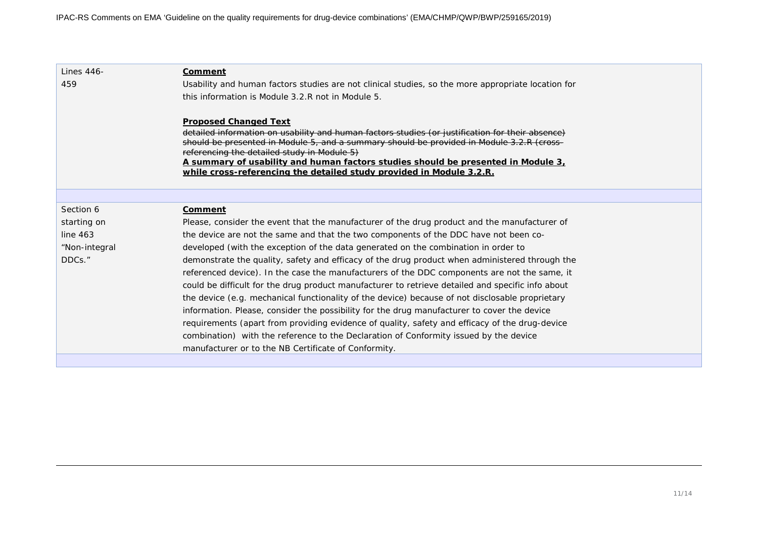| Lines 446-    | Comment                                                                                                                                  |
|---------------|------------------------------------------------------------------------------------------------------------------------------------------|
| 459           | Usability and human factors studies are not clinical studies, so the more appropriate location for                                       |
|               | this information is Module 3.2.R not in Module 5.                                                                                        |
|               |                                                                                                                                          |
|               | <b>Proposed Changed Text</b>                                                                                                             |
|               | detailed information on usability and human factors studies (or justification for their absence)                                         |
|               | should be presented in Module 5, and a summary should be provided in Module 3.2.R (cross-<br>referencing the detailed study in Module 5) |
|               | A summary of usability and human factors studies should be presented in Module 3,                                                        |
|               | while cross-referencing the detailed study provided in Module 3.2.R.                                                                     |
|               |                                                                                                                                          |
|               |                                                                                                                                          |
| Section 6     | Comment                                                                                                                                  |
| starting on   | Please, consider the event that the manufacturer of the drug product and the manufacturer of                                             |
| line $463$    | the device are not the same and that the two components of the DDC have not been co-                                                     |
| "Non-integral | developed (with the exception of the data generated on the combination in order to                                                       |
| DDCs."        | demonstrate the quality, safety and efficacy of the drug product when administered through the                                           |
|               | referenced device). In the case the manufacturers of the DDC components are not the same, it                                             |
|               | could be difficult for the drug product manufacturer to retrieve detailed and specific info about                                        |
|               | the device (e.g. mechanical functionality of the device) because of not disclosable proprietary                                          |
|               | information. Please, consider the possibility for the drug manufacturer to cover the device                                              |
|               | requirements (apart from providing evidence of quality, safety and efficacy of the drug-device                                           |
|               | combination) with the reference to the Declaration of Conformity issued by the device                                                    |
|               | manufacturer or to the NB Certificate of Conformity.                                                                                     |
|               |                                                                                                                                          |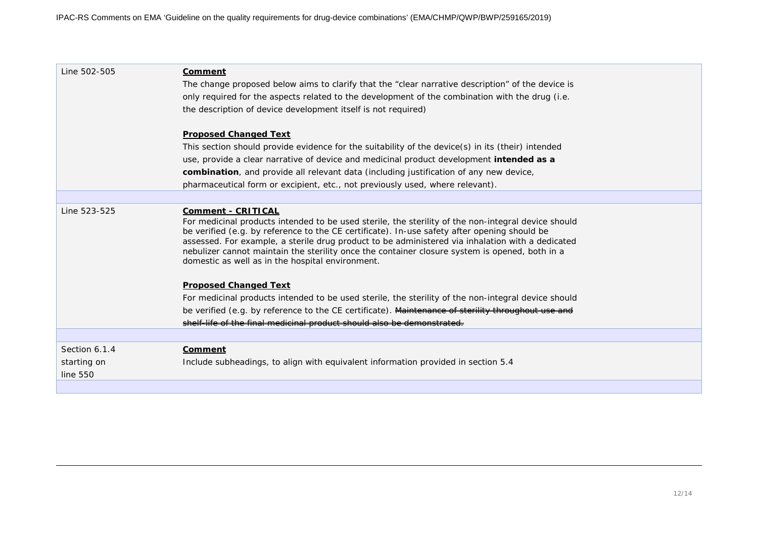| Line 502-505            | Comment<br>The change proposed below aims to clarify that the "clear narrative description" of the device is<br>only required for the aspects related to the development of the combination with the drug (i.e.<br>the description of device development itself is not required)                                                                                                                                                                                                           |
|-------------------------|--------------------------------------------------------------------------------------------------------------------------------------------------------------------------------------------------------------------------------------------------------------------------------------------------------------------------------------------------------------------------------------------------------------------------------------------------------------------------------------------|
|                         | <b>Proposed Changed Text</b>                                                                                                                                                                                                                                                                                                                                                                                                                                                               |
|                         | This section should provide evidence for the suitability of the device(s) in its (their) intended                                                                                                                                                                                                                                                                                                                                                                                          |
|                         | use, provide a clear narrative of device and medicinal product development intended as a                                                                                                                                                                                                                                                                                                                                                                                                   |
|                         | combination, and provide all relevant data (including justification of any new device,                                                                                                                                                                                                                                                                                                                                                                                                     |
|                         | pharmaceutical form or excipient, etc., not previously used, where relevant).                                                                                                                                                                                                                                                                                                                                                                                                              |
|                         |                                                                                                                                                                                                                                                                                                                                                                                                                                                                                            |
| Line 523-525            | <b>Comment - CRITICAL</b><br>For medicinal products intended to be used sterile, the sterility of the non-integral device should<br>be verified (e.g. by reference to the CE certificate). In-use safety after opening should be<br>assessed. For example, a sterile drug product to be administered via inhalation with a dedicated<br>nebulizer cannot maintain the sterility once the container closure system is opened, both in a<br>domestic as well as in the hospital environment. |
|                         | <b>Proposed Changed Text</b>                                                                                                                                                                                                                                                                                                                                                                                                                                                               |
|                         | For medicinal products intended to be used sterile, the sterility of the non-integral device should                                                                                                                                                                                                                                                                                                                                                                                        |
|                         | be verified (e.g. by reference to the CE certificate). Maintenance of sterility throughout use and                                                                                                                                                                                                                                                                                                                                                                                         |
|                         | shelf life of the final medicinal product should also be demonstrated.                                                                                                                                                                                                                                                                                                                                                                                                                     |
|                         |                                                                                                                                                                                                                                                                                                                                                                                                                                                                                            |
| Section 6.1.4           | <b>Comment</b>                                                                                                                                                                                                                                                                                                                                                                                                                                                                             |
| starting on<br>line 550 | Include subheadings, to align with equivalent information provided in section 5.4                                                                                                                                                                                                                                                                                                                                                                                                          |
|                         |                                                                                                                                                                                                                                                                                                                                                                                                                                                                                            |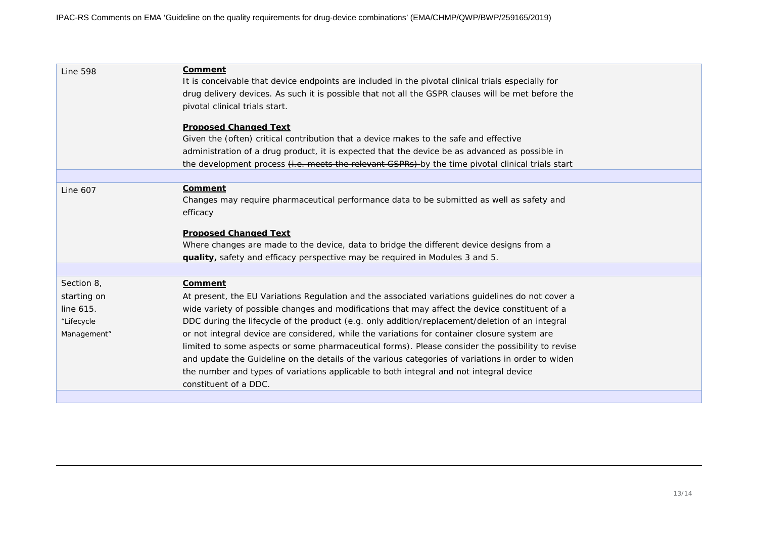| <b>Line 598</b> | <b>Comment</b><br>It is conceivable that device endpoints are included in the pivotal clinical trials especially for |
|-----------------|----------------------------------------------------------------------------------------------------------------------|
|                 | drug delivery devices. As such it is possible that not all the GSPR clauses will be met before the                   |
|                 | pivotal clinical trials start.                                                                                       |
|                 |                                                                                                                      |
|                 | <b>Proposed Changed Text</b>                                                                                         |
|                 | Given the (often) critical contribution that a device makes to the safe and effective                                |
|                 | administration of a drug product, it is expected that the device be as advanced as possible in                       |
|                 | the development process <i>(i.e. meets the relevant GSPRs)</i> by the time pivotal clinical trials start             |
|                 |                                                                                                                      |
| <b>Line 607</b> | Comment                                                                                                              |
|                 | Changes may require pharmaceutical performance data to be submitted as well as safety and                            |
|                 | efficacy                                                                                                             |
|                 |                                                                                                                      |
|                 | <b>Proposed Changed Text</b>                                                                                         |
|                 | Where changes are made to the device, data to bridge the different device designs from a                             |
|                 | quality, safety and efficacy perspective may be required in Modules 3 and 5.                                         |
|                 |                                                                                                                      |
| Section 8,      | <b>Comment</b>                                                                                                       |
| starting on     | At present, the EU Variations Regulation and the associated variations guidelines do not cover a                     |
| line 615.       | wide variety of possible changes and modifications that may affect the device constituent of a                       |
| "Lifecycle      | DDC during the lifecycle of the product (e.g. only addition/replacement/deletion of an integral                      |
| Management"     | or not integral device are considered, while the variations for container closure system are                         |
|                 | limited to some aspects or some pharmaceutical forms). Please consider the possibility to revise                     |
|                 | and update the Guideline on the details of the various categories of variations in order to widen                    |
|                 | the number and types of variations applicable to both integral and not integral device                               |
|                 | constituent of a DDC.                                                                                                |
|                 |                                                                                                                      |